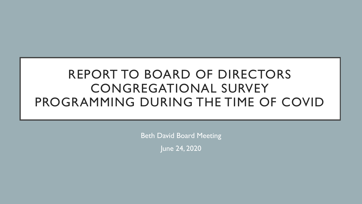# REPORT TO BOARD OF DIRECTORS CONGREGATIONAL SURVEY PROGRAMMING DURING THE TIME OF COVID

Beth David Board Meeting

June 24, 2020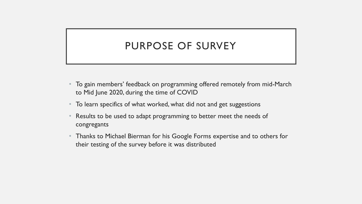### PURPOSE OF SURVEY

- To gain members' feedback on programming offered remotely from mid-March to Mid June 2020, during the time of COVID
- To learn specifics of what worked, what did not and get suggestions
- Results to be used to adapt programming to better meet the needs of congregants
- Thanks to Michael Bierman for his Google Forms expertise and to others for their testing of the survey before it was distributed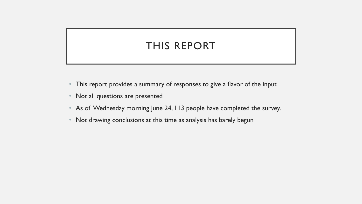# THIS REPORT

- This report provides a summary of responses to give a flavor of the input
- Not all questions are presented
- As of Wednesday morning June 24, 113 people have completed the survey.
- Not drawing conclusions at this time as analysis has barely begun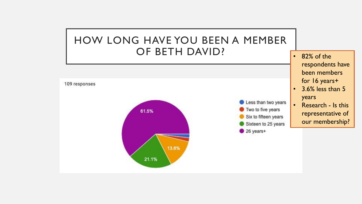## HOW LONG HAVE YOU BEEN A MEMBER OF BETH DAVID?



• 82% of the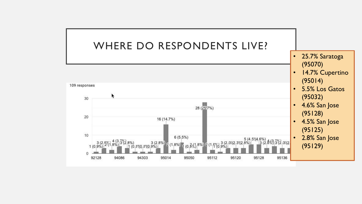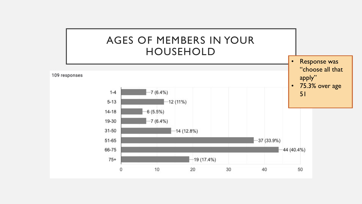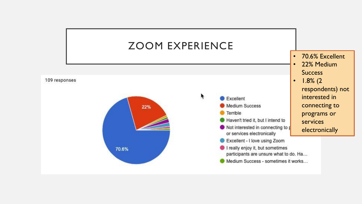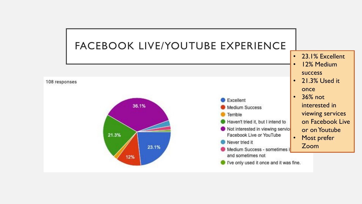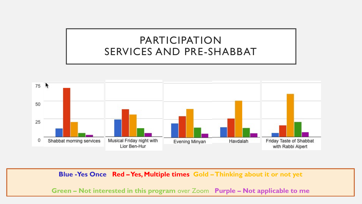## PARTICIPATION SERVICES AND PRE-SHABBAT



**Blue -Yes Once Red –Yes, Multiple times Gold –Thinking about it or not yet**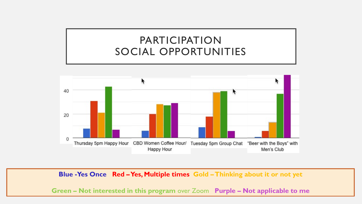# PARTICIPATION SOCIAL OPPORTUNITIES



**Blue -Yes Once Red –Yes, Multiple times Gold –Thinking about it or not yet**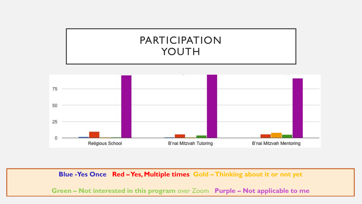



**Blue -Yes Once Red –Yes, Multiple times Gold –Thinking about it or not yet**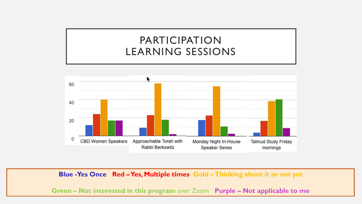# PARTICIPATION LEARNING SESSIONS



**Blue -Yes Once Red –Yes, Multiple times Gold –Thinking about it or not yet**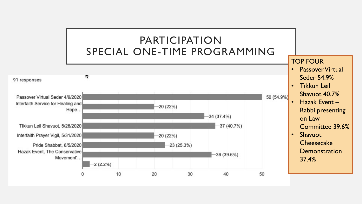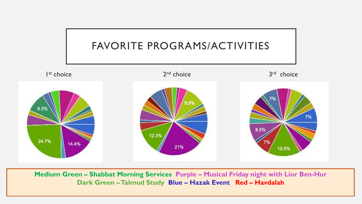

**Medium Green – Shabbat Morning Services Purple – Musical Friday night with Lior Ben-Hur Dark Green –Talmud Study Blue – Hazak Event Red – Havdalah**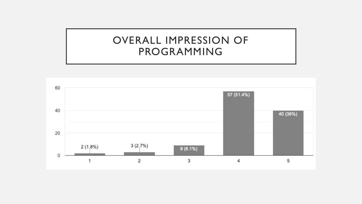#### OVERALL IMPRESSION OF PROGRAMMING

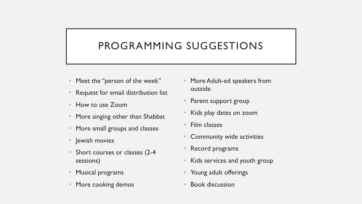# PROGRAMMING SUGGESTIONS

- Meet the "person of the week"
- Request for email distribution list
- How to use Zoom
- More singing other than Shabbat
- More small groups and classes
- Jewish movies
- Short courses or classes (2-4 sessions)
- Musical programs
- More cooking demos
- More Adult-ed speakers from outside
- Parent support group
- Kids play dates on zoom
- Film classes
- Community wide activities
- Record programs
- Kids services and youth group
- Young adult offerings
- Book discussion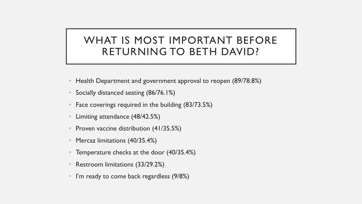### WHAT IS MOST IMPORTANT BEFORE RETURNING TO BETH DAVID?

- Health Department and government approval to reopen (89/78.8%)
- Socially distanced seating (86/76.1%)
- Face coverings required in the building (83/73.5%)
- Limiting attendance (48/42.5%)
- Proven vaccine distribution (41/35.5%)
- Mercaz limitations (40/35.4%)
- Temperature checks at the door (40/35.4%)
- Restroom limitations (33/29.2%)
- I'm ready to come back regardless (9/8%)